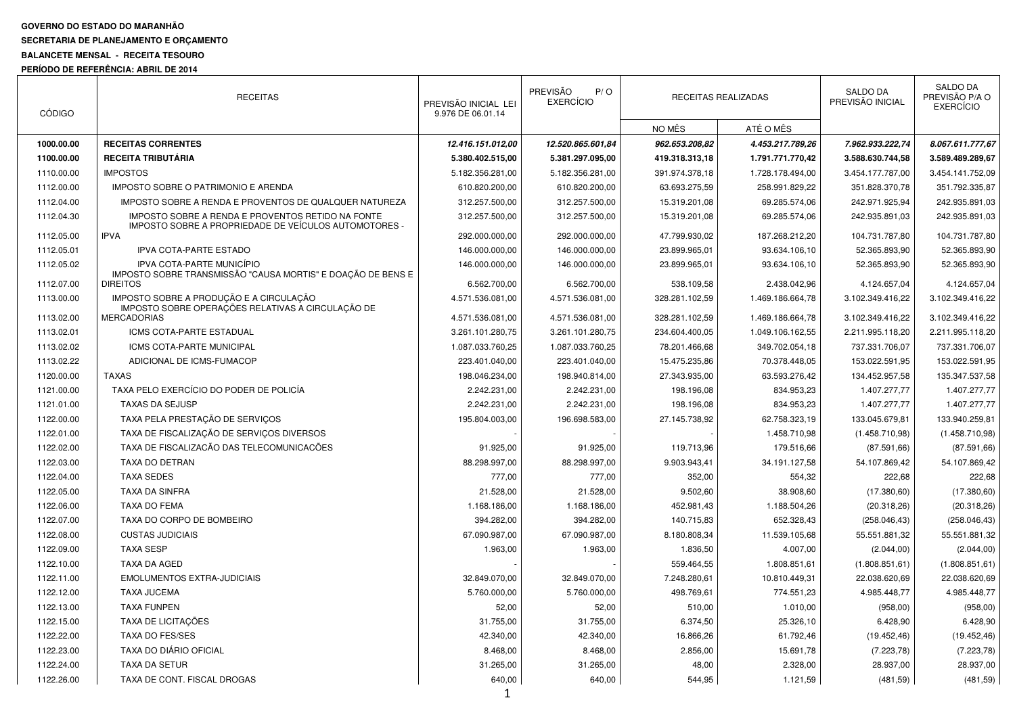## **GOVERNO DO ESTADO DO MARANHÃO**

#### **SECRETARIA DE PLANEJAMENTO E ORÇAMENTO**

# **BALANCETE MENSAL - RECEITA TESOURO**

## **PERÍODO DE REFERÊNCIA: ABRIL DE 2014**

| <b>CÓDIGO</b> | <b>RECEITAS</b>                                                                                            | PREVISÃO INICIAL LEI<br>9.976 DE 06.01.14 | PREVISÃO<br>P/O<br><b>EXERCÍCIO</b> |                | RECEITAS REALIZADAS | SALDO DA<br>PREVISÃO INICIAL | SALDO DA<br>PREVISÃO P/A O<br><b>EXERCÍCIO</b> |
|---------------|------------------------------------------------------------------------------------------------------------|-------------------------------------------|-------------------------------------|----------------|---------------------|------------------------------|------------------------------------------------|
|               |                                                                                                            |                                           |                                     | NO MÊS         | ATÉ O MÊS           |                              |                                                |
| 1000.00.00    | <b>RECEITAS CORRENTES</b>                                                                                  | 12.416.151.012,00                         | 12.520.865.601,84                   | 962.653.208.82 | 4.453.217.789,26    | 7.962.933.222,74             | 8.067.611.777,67                               |
| 1100.00.00    | <b>RECEITA TRIBUTÁRIA</b>                                                                                  | 5.380.402.515,00                          | 5.381.297.095,00                    | 419.318.313,18 | 1.791.771.770,42    | 3.588.630.744,58             | 3.589.489.289,67                               |
| 1110.00.00    | <b>IMPOSTOS</b>                                                                                            | 5.182.356.281,00                          | 5.182.356.281,00                    | 391.974.378,18 | 1.728.178.494,00    | 3.454.177.787,00             | 3.454.141.752,09                               |
| 1112.00.00    | IMPOSTO SOBRE O PATRIMONIO E ARENDA                                                                        | 610.820.200,00                            | 610.820.200,00                      | 63.693.275,59  | 258.991.829,22      | 351.828.370,78               | 351.792.335,87                                 |
| 1112.04.00    | IMPOSTO SOBRE A RENDA E PROVENTOS DE QUALQUER NATUREZA                                                     | 312.257.500,00                            | 312.257.500,00                      | 15.319.201,08  | 69.285.574,06       | 242.971.925,94               | 242.935.891,03                                 |
| 1112.04.30    | IMPOSTO SOBRE A RENDA E PROVENTOS RETIDO NA FONTE<br>IMPOSTO SOBRE A PROPRIEDADE DE VEÍCULOS AUTOMOTORES - | 312.257.500,00                            | 312.257.500,00                      | 15.319.201,08  | 69.285.574,06       | 242.935.891,03               | 242.935.891,03                                 |
| 1112.05.00    | <b>IPVA</b>                                                                                                | 292.000.000.00                            | 292.000.000,00                      | 47.799.930.02  | 187.268.212,20      | 104.731.787,80               | 104.731.787,80                                 |
| 1112.05.01    | IPVA COTA-PARTE ESTADO                                                                                     | 146.000.000,00                            | 146.000.000,00                      | 23.899.965,01  | 93.634.106,10       | 52.365.893,90                | 52.365.893,90                                  |
| 1112.05.02    | IPVA COTA-PARTE MUNICÍPIO<br>IMPOSTO SOBRE TRANSMISSÃO "CAUSA MORTIS" E DOAÇÃO DE BENS E                   | 146.000.000,00                            | 146.000.000,00                      | 23.899.965,01  | 93.634.106,10       | 52.365.893,90                | 52.365.893,90                                  |
| 1112.07.00    | <b>DIREITOS</b>                                                                                            | 6.562.700,00                              | 6.562.700,00                        | 538.109,58     | 2.438.042,96        | 4.124.657,04                 | 4.124.657,04                                   |
| 1113.00.00    | IMPOSTO SOBRE A PRODUÇÃO E A CIRCULAÇÃO<br>IMPOSTO SOBRE OPERAÇÕES RELATIVAS A CIRCULAÇÃO DE               | 4.571.536.081,00                          | 4.571.536.081,00                    | 328.281.102,59 | 1.469.186.664,78    | 3.102.349.416,22             | 3.102.349.416,22                               |
| 1113.02.00    | <b>MERCADORIAS</b>                                                                                         | 4.571.536.081.00                          | 4.571.536.081,00                    | 328.281.102,59 | 1.469.186.664,78    | 3.102.349.416,22             | 3.102.349.416,22                               |
| 1113.02.01    | <b>ICMS COTA-PARTE ESTADUAL</b>                                                                            | 3.261.101.280.75                          | 3.261.101.280,75                    | 234.604.400,05 | 1.049.106.162,55    | 2.211.995.118,20             | 2.211.995.118,20                               |
| 1113.02.02    | <b>ICMS COTA-PARTE MUNICIPAL</b>                                                                           | 1.087.033.760,25                          | 1.087.033.760,25                    | 78.201.466,68  | 349.702.054,18      | 737.331.706,07               | 737.331.706,07                                 |
| 1113.02.22    | ADICIONAL DE ICMS-FUMACOP                                                                                  | 223.401.040,00                            | 223.401.040,00                      | 15.475.235,86  | 70.378.448,05       | 153.022.591,95               | 153.022.591,95                                 |
| 1120.00.00    | <b>TAXAS</b>                                                                                               | 198.046.234,00                            | 198.940.814,00                      | 27.343.935,00  | 63.593.276,42       | 134.452.957,58               | 135.347.537,58                                 |
| 1121.00.00    | TAXA PELO EXERCÍCIO DO PODER DE POLICÍA                                                                    | 2.242.231,00                              | 2.242.231,00                        | 198.196,08     | 834.953,23          | 1.407.277,77                 | 1.407.277,77                                   |
| 1121.01.00    | <b>TAXAS DA SEJUSP</b>                                                                                     | 2.242.231,00                              | 2.242.231,00                        | 198.196,08     | 834.953,23          | 1.407.277,77                 | 1.407.277,77                                   |
| 1122.00.00    | TAXA PELA PRESTAÇÃO DE SERVIÇOS                                                                            | 195.804.003,00                            | 196.698.583,00                      | 27.145.738,92  | 62.758.323,19       | 133.045.679,81               | 133.940.259,81                                 |
| 1122.01.00    | TAXA DE FISCALIZAÇÃO DE SERVICOS DIVERSOS                                                                  |                                           |                                     |                | 1.458.710,98        | (1.458.710,98)               | (1.458.710.98)                                 |
| 1122.02.00    | TAXA DE FISCALIZAÇÃO DAS TELECOMUNICAÇÕES                                                                  | 91.925,00                                 | 91.925,00                           | 119.713,96     | 179.516,66          | (87.591,66)                  | (87.591,66)                                    |
| 1122.03.00    | TAXA DO DETRAN                                                                                             | 88.298.997,00                             | 88.298.997,00                       | 9.903.943,41   | 34.191.127,58       | 54.107.869,42                | 54.107.869,42                                  |
| 1122.04.00    | <b>TAXA SEDES</b>                                                                                          | 777,00                                    | 777,00                              | 352,00         | 554,32              | 222,68                       | 222,68                                         |
| 1122.05.00    | <b>TAXA DA SINFRA</b>                                                                                      | 21.528,00                                 | 21.528,00                           | 9.502,60       | 38.908,60           | (17.380, 60)                 | (17.380, 60)                                   |
| 1122.06.00    | <b>TAXA DO FEMA</b>                                                                                        | 1.168.186,00                              | 1.168.186,00                        | 452.981,43     | 1.188.504,26        | (20.318, 26)                 | (20.318, 26)                                   |
| 1122.07.00    | TAXA DO CORPO DE BOMBEIRO                                                                                  | 394.282,00                                | 394.282,00                          | 140.715,83     | 652.328,43          | (258.046, 43)                | (258.046, 43)                                  |
| 1122.08.00    | <b>CUSTAS JUDICIAIS</b>                                                                                    | 67.090.987,00                             | 67.090.987,00                       | 8.180.808,34   | 11.539.105,68       | 55.551.881,32                | 55.551.881,32                                  |
| 1122.09.00    | <b>TAXA SESP</b>                                                                                           | 1.963,00                                  | 1.963,00                            | 1.836,50       | 4.007,00            | (2.044, 00)                  | (2.044, 00)                                    |
| 1122.10.00    | TAXA DA AGED                                                                                               |                                           |                                     | 559.464,55     | 1.808.851,61        | (1.808.851, 61)              | (1.808.851, 61)                                |
| 1122.11.00    | <b>EMOLUMENTOS EXTRA-JUDICIAIS</b>                                                                         | 32.849.070,00                             | 32.849.070,00                       | 7.248.280,61   | 10.810.449,31       | 22.038.620,69                | 22.038.620,69                                  |
| 1122.12.00    | <b>TAXA JUCEMA</b>                                                                                         | 5.760.000,00                              | 5.760.000,00                        | 498.769,61     | 774.551,23          | 4.985.448,77                 | 4.985.448,77                                   |
| 1122.13.00    | <b>TAXA FUNPEN</b>                                                                                         | 52,00                                     | 52,00                               | 510,00         | 1.010,00            | (958,00)                     | (958,00)                                       |
| 1122.15.00    | TAXA DE LICITAÇÕES                                                                                         | 31.755,00                                 | 31.755,00                           | 6.374,50       | 25.326,10           | 6.428,90                     | 6.428,90                                       |
| 1122.22.00    | TAXA DO FES/SES                                                                                            | 42.340,00                                 | 42.340,00                           | 16.866,26      | 61.792,46           | (19.452, 46)                 | (19.452, 46)                                   |
| 1122.23.00    | TAXA DO DIÁRIO OFICIAL                                                                                     | 8.468,00                                  | 8.468,00                            | 2.856,00       | 15.691,78           | (7.223, 78)                  | (7.223, 78)                                    |
| 1122.24.00    | <b>TAXA DA SETUR</b>                                                                                       | 31.265,00                                 | 31.265,00                           | 48,00          | 2.328,00            | 28.937,00                    | 28.937,00                                      |
| 1122.26.00    | TAXA DE CONT. FISCAL DROGAS                                                                                | 640,00                                    | 640,00                              | 544,95         | 1.121,59            | (481, 59)                    | (481, 59)                                      |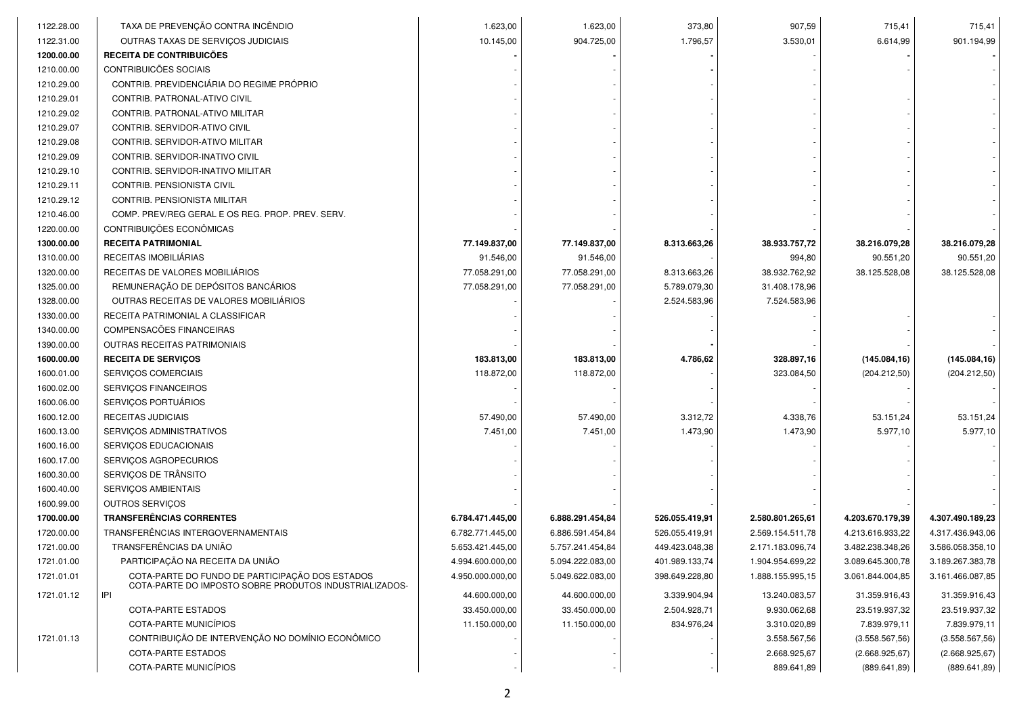| 1122.28.00 | TAXA DE PREVENÇÃO CONTRA INCÊNDIO                                                                         | 1.623,00         | 1.623,00         | 373,80         | 907,59                     | 715,41                           | 715,41                           |
|------------|-----------------------------------------------------------------------------------------------------------|------------------|------------------|----------------|----------------------------|----------------------------------|----------------------------------|
| 1122.31.00 | OUTRAS TAXAS DE SERVIÇOS JUDICIAIS                                                                        | 10.145,00        | 904.725,00       | 1.796,57       | 3.530,01                   | 6.614,99                         | 901.194,99                       |
| 1200.00.00 | RECEITA DE CONTRIBUICÕES                                                                                  |                  |                  |                |                            |                                  |                                  |
| 1210.00.00 | CONTRIBUICÕES SOCIAIS                                                                                     |                  |                  |                |                            |                                  |                                  |
| 1210.29.00 | CONTRIB. PREVIDENCIÁRIA DO REGIME PRÓPRIO                                                                 |                  |                  |                |                            |                                  |                                  |
| 1210.29.01 | CONTRIB. PATRONAL-ATIVO CIVIL                                                                             |                  |                  |                |                            |                                  |                                  |
| 1210.29.02 | CONTRIB. PATRONAL-ATIVO MILITAR                                                                           |                  |                  |                |                            |                                  |                                  |
| 1210.29.07 | CONTRIB. SERVIDOR-ATIVO CIVIL                                                                             |                  |                  |                |                            |                                  |                                  |
| 1210.29.08 | CONTRIB. SERVIDOR-ATIVO MILITAR                                                                           |                  |                  |                |                            |                                  |                                  |
| 1210.29.09 | CONTRIB. SERVIDOR-INATIVO CIVIL                                                                           |                  |                  |                |                            |                                  |                                  |
| 1210.29.10 | CONTRIB. SERVIDOR-INATIVO MILITAR                                                                         |                  |                  |                |                            |                                  |                                  |
| 1210.29.11 | CONTRIB. PENSIONISTA CIVIL                                                                                |                  |                  |                |                            |                                  |                                  |
| 1210.29.12 | CONTRIB. PENSIONISTA MILITAR                                                                              |                  |                  |                |                            |                                  |                                  |
| 1210.46.00 | COMP. PREV/REG GERAL E OS REG. PROP. PREV. SERV.                                                          |                  |                  |                |                            |                                  |                                  |
| 1220.00.00 | CONTRIBUIÇÕES ECONÔMICAS                                                                                  |                  |                  |                |                            |                                  |                                  |
| 1300.00.00 | <b>RECEITA PATRIMONIAL</b>                                                                                | 77.149.837,00    | 77.149.837,00    | 8.313.663,26   | 38.933.757,72              | 38.216.079,28                    | 38.216.079,28                    |
| 1310.00.00 | RECEITAS IMOBILIÁRIAS                                                                                     | 91.546,00        | 91.546,00        |                | 994,80                     | 90.551,20                        | 90.551,20                        |
| 1320.00.00 | RECEITAS DE VALORES MOBILIÁRIOS                                                                           | 77.058.291,00    | 77.058.291,00    | 8.313.663,26   | 38.932.762,92              | 38.125.528,08                    | 38.125.528,08                    |
| 1325.00.00 | REMUNERAÇÃO DE DEPÓSITOS BANCÁRIOS                                                                        | 77.058.291,00    | 77.058.291,00    | 5.789.079,30   | 31.408.178,96              |                                  |                                  |
| 1328.00.00 | OUTRAS RECEITAS DE VALORES MOBILIÁRIOS                                                                    |                  |                  | 2.524.583,96   | 7.524.583,96               |                                  |                                  |
| 1330.00.00 | RECEITA PATRIMONIAL A CLASSIFICAR                                                                         |                  |                  |                |                            |                                  |                                  |
| 1340.00.00 | COMPENSACÕES FINANCEIRAS                                                                                  |                  |                  |                |                            |                                  |                                  |
| 1390.00.00 | OUTRAS RECEITAS PATRIMONIAIS                                                                              |                  |                  |                |                            |                                  |                                  |
| 1600.00.00 | <b>RECEITA DE SERVIÇOS</b>                                                                                | 183.813,00       | 183.813,00       | 4.786,62       | 328.897,16                 | (145.084, 16)                    | (145.084, 16)                    |
| 1600.01.00 | SERVIÇOS COMERCIAIS                                                                                       | 118.872,00       | 118.872,00       |                | 323.084,50                 | (204.212,50)                     | (204.212,50)                     |
| 1600.02.00 | SERVIÇOS FINANCEIROS                                                                                      |                  |                  |                |                            |                                  |                                  |
| 1600.06.00 | SERVIÇOS PORTUÁRIOS                                                                                       |                  |                  |                |                            |                                  |                                  |
| 1600.12.00 | RECEITAS JUDICIAIS                                                                                        | 57.490,00        | 57.490,00        | 3.312,72       | 4.338,76                   | 53.151,24                        | 53.151,24                        |
| 1600.13.00 | SERVIÇOS ADMINISTRATIVOS                                                                                  | 7.451,00         | 7.451,00         | 1.473,90       | 1.473,90                   | 5.977,10                         | 5.977,10                         |
| 1600.16.00 | SERVIÇOS EDUCACIONAIS                                                                                     |                  |                  |                |                            |                                  |                                  |
| 1600.17.00 | SERVIÇOS AGROPECURIOS                                                                                     |                  |                  |                |                            |                                  |                                  |
| 1600.30.00 | SERVIÇOS DE TRÂNSITO                                                                                      |                  |                  |                |                            |                                  |                                  |
| 1600.40.00 | SERVIÇOS AMBIENTAIS                                                                                       |                  |                  |                |                            |                                  |                                  |
| 1600.99.00 | OUTROS SERVIÇOS                                                                                           |                  |                  |                |                            |                                  |                                  |
| 1700.00.00 | <b>TRANSFERÊNCIAS CORRENTES</b>                                                                           | 6.784.471.445,00 | 6.888.291.454,84 | 526.055.419,91 | 2.580.801.265,61           | 4.203.670.179,39                 | 4.307.490.189,23                 |
| 1720.00.00 | TRANSFERÊNCIAS INTERGOVERNAMENTAIS                                                                        | 6.782.771.445,00 | 6.886.591.454,84 | 526.055.419,91 | 2.569.154.511,78           | 4.213.616.933,22                 | 4.317.436.943,06                 |
| 1721.00.00 | TRANSFERÊNCIAS DA UNIÃO                                                                                   | 5.653.421.445,00 | 5.757.241.454,84 | 449.423.048,38 | 2.171.183.096,74           | 3.482.238.348,26                 | 3.586.058.358,10                 |
| 1721.01.00 | PARTICIPAÇÃO NA RECEITA DA UNIÃO                                                                          | 4.994.600.000,00 | 5.094.222.083,00 | 401.989.133,74 | 1.904.954.699,22           | 3.089.645.300,78                 | 3.189.267.383,78                 |
| 1721.01.01 | COTA-PARTE DO FUNDO DE PARTICIPAÇÃO DOS ESTADOS<br>COTA-PARTE DO IMPOSTO SOBRE PRODUTOS INDUSTRIALIZADOS- | 4.950.000.000,00 | 5.049.622.083,00 | 398.649.228,80 | 1.888.155.995,15           | 3.061.844.004,85                 | 3.161.466.087,85                 |
| 1721.01.12 | IPI                                                                                                       | 44.600.000,00    | 44.600.000,00    | 3.339.904,94   | 13.240.083,57              | 31.359.916,43                    | 31.359.916,43                    |
|            | <b>COTA-PARTE ESTADOS</b>                                                                                 | 33.450.000,00    | 33.450.000,00    | 2.504.928,71   | 9.930.062,68               | 23.519.937,32                    | 23.519.937,32                    |
|            | COTA-PARTE MUNICÍPIOS                                                                                     | 11.150.000,00    | 11.150.000,00    | 834.976,24     | 3.310.020,89               | 7.839.979,11                     | 7.839.979,11                     |
| 1721.01.13 |                                                                                                           |                  |                  |                | 3.558.567,56               | (3.558.567, 56)                  | (3.558.567, 56)                  |
|            | CONTRIBUIÇÃO DE INTERVENÇÃO NO DOMÍNIO ECONÔMICO                                                          |                  |                  |                |                            |                                  |                                  |
|            | COTA-PARTE ESTADOS<br>COTA-PARTE MUNICÍPIOS                                                               |                  |                  |                | 2.668.925,67<br>889.641,89 | (2.668.925, 67)<br>(889.641, 89) | (2.668.925, 67)<br>(889.641, 89) |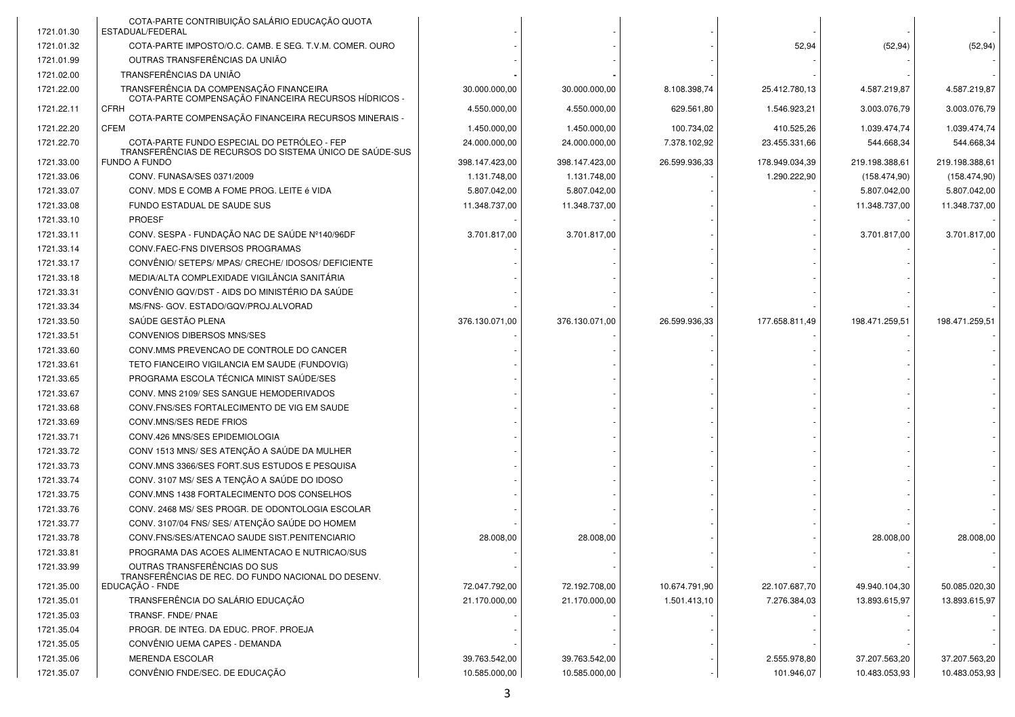| 1721.01.30 | COTA-PARTE CONTRIBUIÇÃO SALÁRIO EDUCAÇÃO QUOTA<br>ESTADUAL/FEDERAL                               |                |                |               |                |                |                |
|------------|--------------------------------------------------------------------------------------------------|----------------|----------------|---------------|----------------|----------------|----------------|
| 1721.01.32 | COTA-PARTE IMPOSTO/O.C. CAMB. E SEG. T.V.M. COMER. OURO                                          |                |                |               | 52,94          | (52, 94)       | (52, 94)       |
| 1721.01.99 | OUTRAS TRANSFERÊNCIAS DA UNIÃO                                                                   |                |                |               |                |                |                |
| 1721.02.00 | TRANSFERÊNCIAS DA UNIÃO                                                                          |                |                |               |                |                |                |
| 1721.22.00 | TRANSFERÊNCIA DA COMPENSAÇÃO FINANCEIRA<br>COTA-PARTE COMPENSAÇÃO FINANCEIRA RECURSOS HÍDRICOS - | 30.000.000,00  | 30.000.000,00  | 8.108.398,74  | 25.412.780,13  | 4.587.219,87   | 4.587.219,87   |
| 1721.22.11 | <b>CFRH</b>                                                                                      | 4.550.000,00   | 4.550.000,00   | 629.561,80    | 1.546.923,21   | 3.003.076,79   | 3.003.076,79   |
| 1721.22.20 | COTA-PARTE COMPENSAÇÃO FINANCEIRA RECURSOS MINERAIS -<br><b>CFEM</b>                             | 1.450.000,00   | 1.450.000,00   | 100.734,02    | 410.525,26     | 1.039.474,74   | 1.039.474,74   |
| 1721.22.70 | COTA-PARTE FUNDO ESPECIAL DO PETRÓLEO - FEP                                                      | 24.000.000,00  | 24.000.000,00  | 7.378.102,92  | 23.455.331,66  | 544.668,34     | 544.668,34     |
| 1721.33.00 | TRANSFERÊNCIAS DE RECURSOS DO SISTEMA ÚNICO DE SAÚDE-SUS<br>FUNDO A FUNDO                        | 398.147.423,00 | 398.147.423,00 | 26.599.936,33 | 178.949.034,39 | 219.198.388,61 | 219.198.388,61 |
| 1721.33.06 | CONV. FUNASA/SES 0371/2009                                                                       | 1.131.748,00   | 1.131.748,00   |               | 1.290.222,90   | (158.474,90)   | (158.474,90)   |
| 1721.33.07 | CONV. MDS E COMB A FOME PROG. LEITE é VIDA                                                       | 5.807.042,00   | 5.807.042,00   |               |                | 5.807.042,00   | 5.807.042,00   |
| 1721.33.08 | FUNDO ESTADUAL DE SAUDE SUS                                                                      | 11.348.737,00  | 11.348.737,00  |               |                | 11.348.737,00  | 11.348.737,00  |
| 1721.33.10 | <b>PROESF</b>                                                                                    |                |                |               |                |                |                |
| 1721.33.11 | CONV. SESPA - FUNDAÇÃO NAC DE SAÚDE Nº140/96DF                                                   | 3.701.817,00   | 3.701.817,00   |               |                | 3.701.817,00   | 3.701.817,00   |
| 1721.33.14 | CONV.FAEC-FNS DIVERSOS PROGRAMAS                                                                 |                |                |               |                |                |                |
| 1721.33.17 | CONVÊNIO/ SETEPS/ MPAS/ CRECHE/ IDOSOS/ DEFICIENTE                                               |                |                |               |                |                |                |
| 1721.33.18 | MEDIA/ALTA COMPLEXIDADE VIGILÂNCIA SANITÁRIA                                                     |                |                |               |                |                |                |
| 1721.33.31 | CONVÊNIO GQV/DST - AIDS DO MINISTÉRIO DA SAÚDE                                                   |                |                |               |                |                |                |
| 1721.33.34 | MS/FNS- GOV. ESTADO/GQV/PROJ.ALVORAD                                                             |                |                |               |                |                |                |
| 1721.33.50 | SAÚDE GESTÃO PLENA                                                                               | 376.130.071,00 | 376.130.071,00 | 26.599.936,33 | 177.658.811,49 | 198.471.259,51 | 198.471.259,51 |
| 1721.33.51 | CONVENIOS DIBERSOS MNS/SES                                                                       |                |                |               |                |                |                |
| 1721.33.60 | CONV.MMS PREVENCAO DE CONTROLE DO CANCER                                                         |                |                |               |                |                |                |
| 1721.33.61 | TETO FIANCEIRO VIGILANCIA EM SAUDE (FUNDOVIG)                                                    |                |                |               |                |                |                |
| 1721.33.65 | PROGRAMA ESCOLA TÉCNICA MINIST SAÚDE/SES                                                         |                |                |               |                |                |                |
| 1721.33.67 | CONV. MNS 2109/ SES SANGUE HEMODERIVADOS                                                         |                |                |               |                |                |                |
| 1721.33.68 | CONV. FNS/SES FORTALECIMENTO DE VIG EM SAUDE                                                     |                |                |               |                |                |                |
| 1721.33.69 | CONV.MNS/SES REDE FRIOS                                                                          |                |                |               |                |                |                |
| 1721.33.71 | CONV.426 MNS/SES EPIDEMIOLOGIA                                                                   |                |                |               |                |                |                |
| 1721.33.72 | CONV 1513 MNS/ SES ATENÇÃO A SAÚDE DA MULHER                                                     |                |                |               |                |                |                |
| 1721.33.73 | CONV.MNS 3366/SES FORT.SUS ESTUDOS E PESQUISA                                                    |                |                |               |                |                |                |
| 1721.33.74 | CONV. 3107 MS/ SES A TENÇÃO A SAÚDE DO IDOSO                                                     |                |                |               |                |                |                |
| 1721.33.75 | CONV.MNS 1438 FORTALECIMENTO DOS CONSELHOS                                                       |                |                |               |                |                |                |
| 1721.33.76 | CONV. 2468 MS/ SES PROGR. DE ODONTOLOGIA ESCOLAR                                                 |                |                |               |                |                |                |
| 1721.33.77 | CONV. 3107/04 FNS/ SES/ ATENÇÃO SAÚDE DO HOMEM                                                   |                |                |               |                |                |                |
| 1721.33.78 | CONV.FNS/SES/ATENCAO SAUDE SIST.PENITENCIARIO                                                    | 28.008,00      | 28.008,00      |               |                | 28.008,00      | 28.008,00      |
| 1721.33.81 | PROGRAMA DAS ACOES ALIMENTACAO E NUTRICAO/SUS                                                    |                |                |               |                |                |                |
| 1721.33.99 | OUTRAS TRANSFERÊNCIAS DO SUS<br>TRANSFERÊNCIAS DE REC. DO FUNDO NACIONAL DO DESENV.              |                |                |               |                |                |                |
| 1721.35.00 | EDUCAÇÃO - FNDE                                                                                  | 72.047.792,00  | 72.192.708,00  | 10.674.791,90 | 22.107.687,70  | 49.940.104,30  | 50.085.020,30  |
| 1721.35.01 | TRANSFERÊNCIA DO SALÁRIO EDUCAÇÃO                                                                | 21.170.000,00  | 21.170.000,00  | 1.501.413,10  | 7.276.384,03   | 13.893.615,97  | 13.893.615,97  |
| 1721.35.03 | TRANSF. FNDE/ PNAE                                                                               |                |                |               |                |                |                |
| 1721.35.04 | PROGR. DE INTEG. DA EDUC. PROF. PROEJA                                                           |                |                |               |                |                |                |
| 1721.35.05 | CONVÊNIO UEMA CAPES - DEMANDA                                                                    |                |                |               |                |                |                |
| 1721.35.06 | <b>MERENDA ESCOLAR</b>                                                                           | 39.763.542,00  | 39.763.542,00  |               | 2.555.978,80   | 37.207.563,20  | 37.207.563,20  |
| 1721.35.07 | CONVÊNIO FNDE/SEC. DE EDUCAÇÃO                                                                   | 10.585.000,00  | 10.585.000,00  |               | 101.946.07     | 10.483.053,93  | 10.483.053,93  |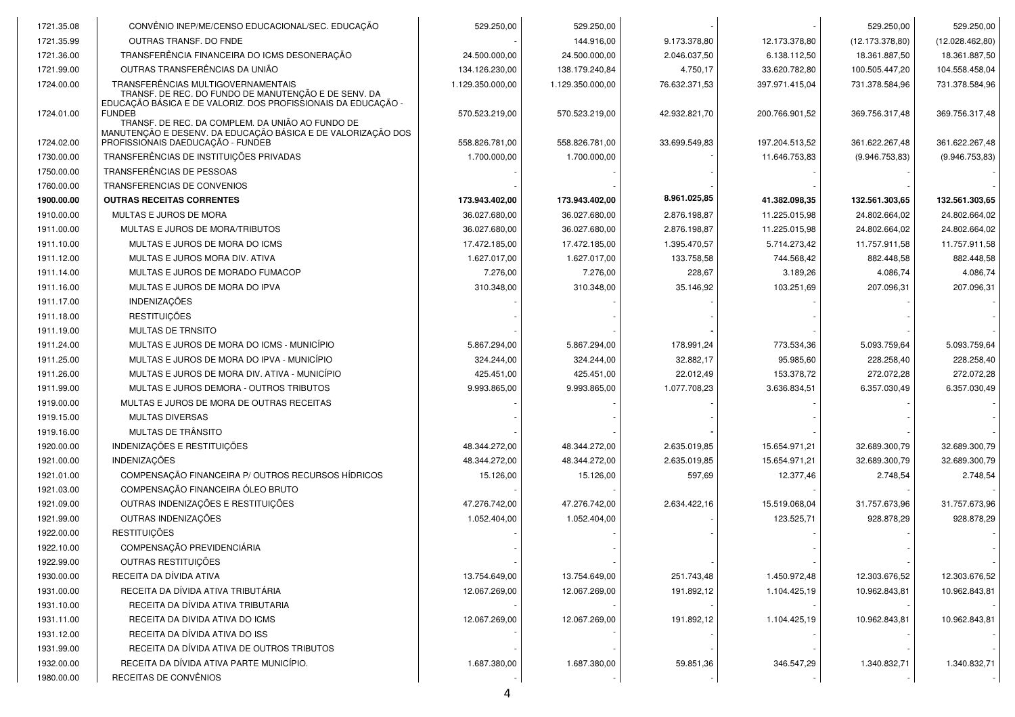| 1721.35.08 | CONVÊNIO INEP/ME/CENSO EDUCACIONAL/SEC. EDUCAÇÃO                                                                                                            | 529.250,00       | 529.250,00       |               |                | 529.250,00      | 529.250,00       |
|------------|-------------------------------------------------------------------------------------------------------------------------------------------------------------|------------------|------------------|---------------|----------------|-----------------|------------------|
| 1721.35.99 | OUTRAS TRANSF. DO FNDE                                                                                                                                      |                  | 144.916,00       | 9.173.378,80  | 12.173.378,80  | (12.173.378,80) | (12.028.462, 80) |
| 1721.36.00 | TRANSFERÊNCIA FINANCEIRA DO ICMS DESONERAÇÃO                                                                                                                | 24.500.000,00    | 24.500.000,00    | 2.046.037,50  | 6.138.112,50   | 18.361.887,50   | 18.361.887,50    |
| 1721.99.00 | OUTRAS TRANSFERÊNCIAS DA UNIÃO                                                                                                                              | 134.126.230,00   | 138.179.240,84   | 4.750,17      | 33.620.782,80  | 100.505.447,20  | 104.558.458,04   |
| 1724.00.00 | TRANSFERÊNCIAS MULTIGOVERNAMENTAIS<br>TRANSF. DE REC. DO FUNDO DE MANUTENÇÃO E DE SENV. DA<br>EDUCAÇÃO BÁSICA E DE VALORIZ. DOS PROFISSIONAIS DA EDUCAÇÃO - | 1.129.350.000,00 | 1.129.350.000,00 | 76.632.371,53 | 397.971.415,04 | 731.378.584,96  | 731.378.584,96   |
| 1724.01.00 | <b>FUNDEB</b><br>TRANSF. DE REC. DA COMPLEM. DA UNIÃO AO FUNDO DE                                                                                           | 570.523.219,00   | 570.523.219,00   | 42.932.821,70 | 200.766.901,52 | 369.756.317,48  | 369.756.317,48   |
| 1724.02.00 | MANUTENÇÃO E DESENV. DA EDUCAÇÃO BÁSICA E DE VALORIZAÇÃO DOS<br>PROFISSIONAIS DAEDUCAÇÃO - FUNDEB                                                           | 558.826.781,00   | 558.826.781,00   | 33.699.549,83 | 197.204.513,52 | 361.622.267,48  | 361.622.267,48   |
| 1730.00.00 | TRANSFERÊNCIAS DE INSTITUIÇÕES PRIVADAS                                                                                                                     | 1.700.000,00     | 1.700.000,00     |               | 11.646.753,83  | (9.946.753, 83) | (9.946.753,83)   |
| 1750.00.00 | TRANSFERÊNCIAS DE PESSOAS                                                                                                                                   |                  |                  |               |                |                 |                  |
| 1760.00.00 | TRANSFERENCIAS DE CONVENIOS                                                                                                                                 |                  |                  |               |                |                 |                  |
| 1900.00.00 | <b>OUTRAS RECEITAS CORRENTES</b>                                                                                                                            | 173.943.402,00   | 173.943.402,00   | 8.961.025,85  | 41.382.098,35  | 132.561.303,65  | 132.561.303,65   |
| 1910.00.00 | MULTAS E JUROS DE MORA                                                                                                                                      | 36.027.680,00    | 36.027.680,00    | 2.876.198,87  | 11.225.015,98  | 24.802.664,02   | 24.802.664,02    |
| 1911.00.00 | MULTAS E JUROS DE MORA/TRIBUTOS                                                                                                                             | 36.027.680,00    | 36.027.680,00    | 2.876.198,87  | 11.225.015,98  | 24.802.664,02   | 24.802.664,02    |
| 1911.10.00 | MULTAS E JUROS DE MORA DO ICMS                                                                                                                              | 17.472.185,00    | 17.472.185,00    | 1.395.470,57  | 5.714.273,42   | 11.757.911,58   | 11.757.911,58    |
| 1911.12.00 | MULTAS E JUROS MORA DIV. ATIVA                                                                                                                              | 1.627.017,00     | 1.627.017,00     | 133.758,58    | 744.568,42     | 882.448,58      | 882.448,58       |
| 1911.14.00 | MULTAS E JUROS DE MORADO FUMACOP                                                                                                                            | 7.276,00         | 7.276,00         | 228,67        | 3.189,26       | 4.086,74        | 4.086,74         |
| 1911.16.00 | MULTAS E JUROS DE MORA DO IPVA                                                                                                                              | 310.348,00       | 310.348,00       | 35.146,92     | 103.251,69     | 207.096,31      | 207.096,31       |
| 1911.17.00 | <b>INDENIZAÇÕES</b>                                                                                                                                         |                  |                  |               |                |                 |                  |
| 1911.18.00 | <b>RESTITUICÕES</b>                                                                                                                                         |                  |                  |               |                |                 |                  |
| 1911.19.00 | <b>MULTAS DE TRNSITO</b>                                                                                                                                    |                  |                  |               |                |                 |                  |
| 1911.24.00 | MULTAS E JUROS DE MORA DO ICMS - MUNICÍPIO                                                                                                                  | 5.867.294,00     | 5.867.294,00     | 178.991,24    | 773.534,36     | 5.093.759,64    | 5.093.759,64     |
| 1911.25.00 | MULTAS E JUROS DE MORA DO IPVA - MUNICÍPIO                                                                                                                  | 324.244,00       | 324.244.00       | 32.882,17     | 95.985,60      | 228.258,40      | 228.258,40       |
| 1911.26.00 | MULTAS E JUROS DE MORA DIV. ATIVA - MUNICÍPIO                                                                                                               | 425.451,00       | 425.451,00       | 22.012,49     | 153.378,72     | 272.072,28      | 272.072,28       |
| 1911.99.00 | MULTAS E JUROS DEMORA - OUTROS TRIBUTOS                                                                                                                     | 9.993.865,00     | 9.993.865,00     | 1.077.708,23  | 3.636.834,51   | 6.357.030,49    | 6.357.030,49     |
| 1919.00.00 | MULTAS E JUROS DE MORA DE OUTRAS RECEITAS                                                                                                                   |                  |                  |               |                |                 |                  |
| 1919.15.00 | <b>MULTAS DIVERSAS</b>                                                                                                                                      |                  |                  |               |                |                 |                  |
| 1919.16.00 | MULTAS DE TRÂNSITO                                                                                                                                          |                  |                  |               |                |                 |                  |
| 1920.00.00 | INDENIZAÇÕES E RESTITUIÇÕES                                                                                                                                 | 48.344.272,00    | 48.344.272,00    | 2.635.019,85  | 15.654.971,21  | 32.689.300,79   | 32.689.300,79    |
| 1921.00.00 | <b>INDENIZACÕES</b>                                                                                                                                         | 48.344.272,00    | 48.344.272,00    | 2.635.019,85  | 15.654.971,21  | 32.689.300,79   | 32.689.300,79    |
| 1921.01.00 | COMPENSAÇÃO FINANCEIRA P/ OUTROS RECURSOS HÍDRICOS                                                                                                          | 15.126,00        | 15.126,00        | 597,69        | 12.377,46      | 2.748,54        | 2.748,54         |
| 1921.03.00 | COMPENSAÇÃO FINANCEIRA ÓLEO BRUTO                                                                                                                           |                  |                  |               |                |                 |                  |
| 1921.09.00 | OUTRAS INDENIZAÇÕES E RESTITUICÕES                                                                                                                          | 47.276.742,00    | 47.276.742,00    | 2.634.422,16  | 15.519.068,04  | 31.757.673,96   | 31.757.673,96    |
| 1921.99.00 | OUTRAS INDENIZAÇÕES                                                                                                                                         | 1.052.404,00     | 1.052.404,00     |               | 123.525,71     | 928.878,29      | 928.878,29       |
| 1922.00.00 | <b>RESTITUIÇÕES</b>                                                                                                                                         |                  |                  |               |                |                 |                  |
| 1922.10.00 | COMPENSAÇÃO PREVIDENCIÁRIA                                                                                                                                  |                  |                  |               |                |                 |                  |
| 1922.99.00 | OUTRAS RESTITUIÇÕES                                                                                                                                         |                  |                  |               |                |                 |                  |
| 1930.00.00 | RECEITA DA DÍVIDA ATIVA                                                                                                                                     | 13.754.649,00    | 13.754.649,00    | 251.743,48    | 1.450.972,48   | 12.303.676,52   | 12.303.676,52    |
| 1931.00.00 | RECEITA DA DÍVIDA ATIVA TRIBUTÁRIA                                                                                                                          | 12.067.269.00    | 12.067.269.00    | 191.892,12    | 1.104.425,19   | 10.962.843,81   | 10.962.843,81    |
| 1931.10.00 | RECEITA DA DÍVIDA ATIVA TRIBUTARIA                                                                                                                          |                  |                  |               |                |                 |                  |
| 1931.11.00 | RECEITA DA DIVIDA ATIVA DO ICMS                                                                                                                             | 12.067.269,00    | 12.067.269,00    | 191.892,12    | 1.104.425,19   | 10.962.843,81   | 10.962.843,81    |
| 1931.12.00 | RECEITA DA DÍVIDA ATIVA DO ISS                                                                                                                              |                  |                  |               |                |                 |                  |
| 1931.99.00 | RECEITA DA DÍVIDA ATIVA DE OUTROS TRIBUTOS                                                                                                                  |                  |                  |               |                |                 |                  |
| 1932.00.00 | RECEITA DA DÍVIDA ATIVA PARTE MUNICÍPIO.                                                                                                                    | 1.687.380,00     | 1.687.380,00     | 59.851,36     | 346.547,29     | 1.340.832,71    | 1.340.832,71     |
| 1980.00.00 | RECEITAS DE CONVÊNIOS                                                                                                                                       |                  |                  |               |                |                 |                  |